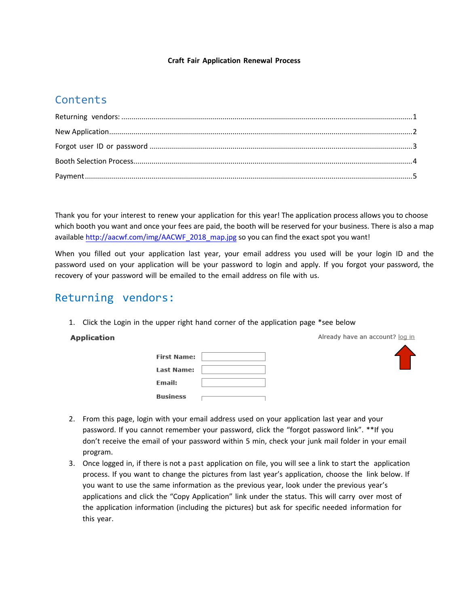#### **Craft Fair Application Renewal Process**

## **Contents**

Thank you for your interest to renew your application for this year! The application process allows you to choose which booth you want and once your fees are paid, the booth will be reserved for your business. There is also a map available http://aacwf.com/img/AACWF\_2018\_map.jpg so you can find the exact spot you want!

When you filled out your [application](http://aacwf.com/img/vendorsmap.jpg) last year, your email address you used will be your login ID and the password used on your application will be your password to login and apply. If you forgot your password, the recovery of your password will be emailed to the email address on file with us.

## <span id="page-0-0"></span>Returning vendors:

1. Click the Login in the upper right hand corner of the application page \*see below

#### **Application**

| First Name:   |  |
|---------------|--|
| Last Name:    |  |
| <b>Email:</b> |  |
| Business      |  |





- 2. From this page, login with your email address used on your application last year and your password. If you cannot remember your password, click the "forgot password link". \*\*If you don't receive the email of your password within 5 min, check your junk mail folder in your email program.
- 3. Once logged in, if there is not a past application on file, you will see a link to start the application process. If you want to change the pictures from last year's application, choose the link below. If you want to use the same information as the previous year, look under the previous year's applications and click the "Copy Application" link under the status. This will carry over most of the application information (including the pictures) but ask for specific needed information for this year.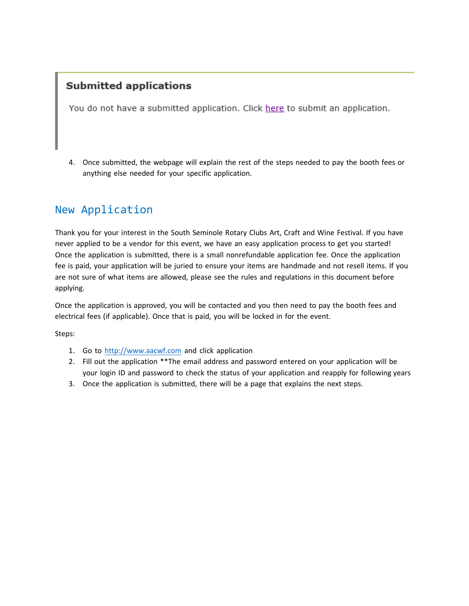#### **Submitted applications**

You do not have a submitted application. Click here to submit an application.

4. Once submitted, the webpage will explain the rest of the steps needed to pay the booth fees or anything else needed for your specific application.

## <span id="page-1-0"></span>New Application

Thank you for your interest in the South Seminole Rotary Clubs Art, Craft and Wine Festival. If you have never applied to be a vendor for this event, we have an easy application process to get you started! Once the application is submitted, there is a small nonrefundable application fee. Once the application fee is paid, your application will be juried to ensure your items are handmade and not resell items. If you are not sure of what items are allowed, please see the rules and regulations in this document before applying.

Once the application is approved, you will be contacted and you then need to pay the booth fees and electrical fees (if applicable). Once that is paid, you will be locked in for the event.

Steps:

- 1. Go to [http://www.aacwf.com](http://www.aacwf.com/) and click application
- 2. Fill out the application \*\*The email address and password entered on your application will be your login ID and password to check the status of your application and reapply for following years
- 3. Once the application is submitted, there will be a page that explains the next steps.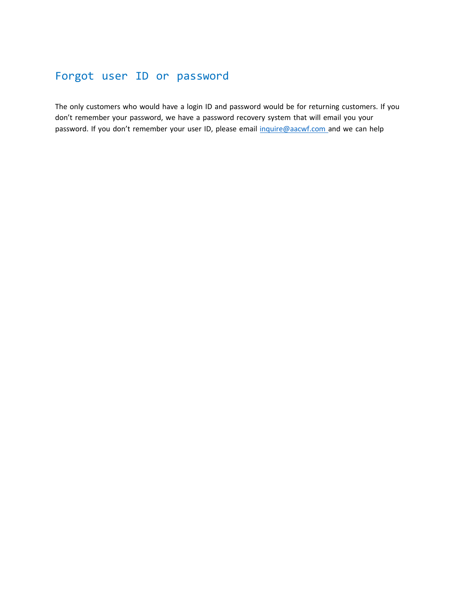# <span id="page-2-0"></span>Forgot user ID or password

The only customers who would have a login ID and password would be for returning customers. If you don't remember your password, we have a password recovery system that will email you your password. If you don't remember your user ID, please email [inquire@aacwf.com](mailto:inquire@aacwf.com) and we can help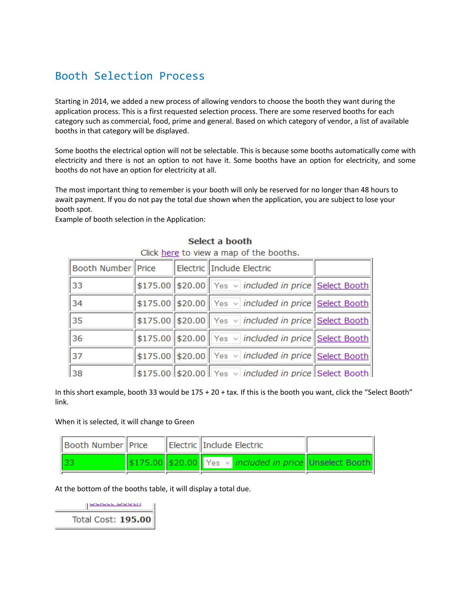## <span id="page-3-0"></span>Booth Selection Process

Starting in 2014, we added a new process of allowing vendors to choose the booth they want during the application process. This is a first requested selection process. There are some reserved booths for each category such as commercial, food, prime and general. Based on which category of vendor, a list of available booths in that category will be displayed.

Some booths the electrical option will not be selectable. This is because some booths automatically come with electricity and there is not an option to not have it. Some booths have an option for electricity, and some booths do not have an option for electricity at all.

The most important thing to remember is your booth will only be reserved for no longer than 48 hours to await payment. If you do not pay the total due shown when the application, you are subject to lose your booth spot.

Example of booth selection in the Application:

| CIICK HELE TO VIEW a HIGH OF THE DOOTHS. |  |  |                                                                                 |  |  |  |
|------------------------------------------|--|--|---------------------------------------------------------------------------------|--|--|--|
| Booth Number Price                       |  |  | Electric Include Electric                                                       |  |  |  |
| 33                                       |  |  | \$175.00 \$20.00 Yes v included in price Select Booth                           |  |  |  |
| 34                                       |  |  | \$175.00 \$20.00 Yes v included in price Select Booth                           |  |  |  |
| 35                                       |  |  | \$175.00 \$20.00 Yes v included in price Select Booth                           |  |  |  |
| 36                                       |  |  | \$175.00 \$20.00 Yes v included in price Select Booth                           |  |  |  |
| $\vert_{37}$                             |  |  | \$175.00 \$20.00 Yes v included in price Select Booth                           |  |  |  |
| 38                                       |  |  | $\frac{1}{2}$ \$175.00 \$20.00 Yes $\vee$ <i>included in price</i> Select Booth |  |  |  |

#### Select a booth

Click hara to view a man of the hoother

In this short example, booth 33 would be 175 + 20 + tax. If this is the booth you want, click the "Select Booth" link.

When it is selected, it will change to Green

| Booth Number Price |  | Electric Include Electric                                           |  |
|--------------------|--|---------------------------------------------------------------------|--|
|                    |  | \$175.00 \$20.00 Yes $\vee$ <i>included in price</i> Unselect Booth |  |

At the bottom of the booths table, it will display a total due.

 $\frac{u}{u}$ **Total Cost: 195.00**